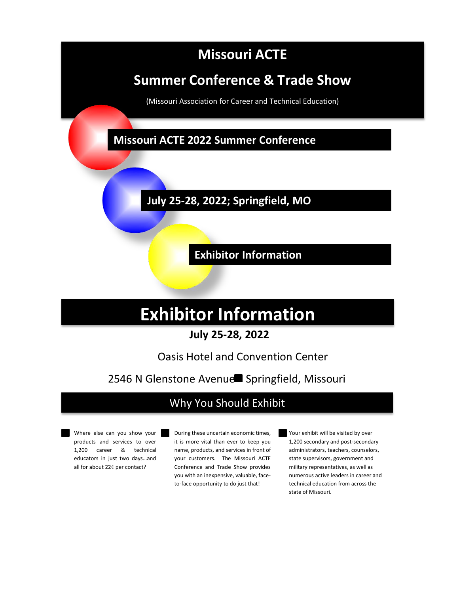# **Missouri ACTE**

# **Summer Conference & Trade Show**

(Missouri Association for Career and Technical Education)

**Missouri ACTE 2022 Summer Conference**

**July 25-28, 2022; Springfield, MO**

**Exhibitor Information**

# **Exhibitor Information**

## **July 25-28, 2022**

# Oasis Hotel and Convention Center

# 2546 N Glenstone Avenue Springfield, Missouri

# Why You Should Exhibit

Where else can you show your products and services to over 1,200 career & technical educators in just two days…and all for about 22¢ per contact?

During these uncertain economic times, it is more vital than ever to keep you name, products, and services in front of your customers. The Missouri ACTE Conference and Trade Show provides you with an inexpensive, valuable, faceto-face opportunity to do just that!

Your exhibit will be visited by over 1,200 secondary and post-secondary administrators, teachers, counselors, state supervisors, government and military representatives, as well as numerous active leaders in career and technical education from across the state of Missouri.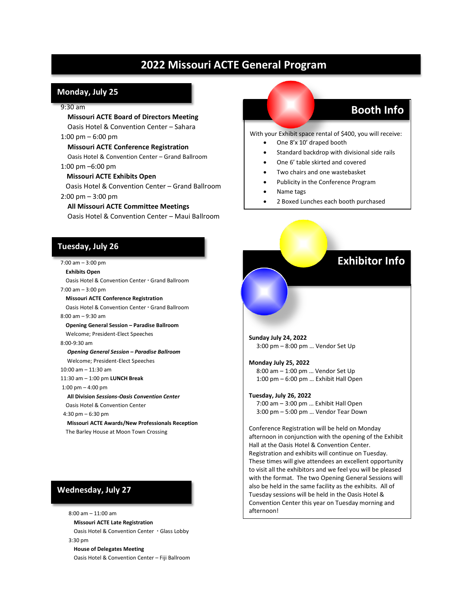## **2022 Missouri ACTE General Program**

### **Monday, July 25**

#### 9:30 am

 **Missouri ACTE Board of Directors Meeting** Oasis Hotel & Convention Center – Sahara

#### 1:00 pm – 6:00 pm

 **Missouri ACTE Conference Registration** Oasis Hotel & Convention Center – Grand Ballroom 1:00 pm –6:00 pm

#### **Missouri ACTE Exhibits Open**

 Oasis Hotel & Convention Center – Grand Ballroom 2:00 pm – 3:00 pm

## **All Missouri ACTE Committee Meetings**

Oasis Hotel & Convention Center – Maui Ballroom

## **Tuesday, July 26**

#### 7:00 am – 3:00 pm

 **Exhibits Open** Oasis Hotel & Convention Center Grand Ballroom 7:00 am – 3:00 pm

## **Missouri ACTE Conference Registration**

 Oasis Hotel & Convention Center Grand Ballroom 8:00 am – 9:30 am

 **Opening General Session – Paradise Ballroom** Welcome; President-Elect Speeches

#### 8:00-9:30 am

 *Opening General Session – Paradise Ballroom* Welcome; President-Elect Speeches

10:00 am – 11:30 am

11:30 am – 1:00 pm **LUNCH Break**

### 1:00 pm – 4:00 pm

**All Division** *Sessions-Oasis Convention Center*

**Oasis Hotel & Convention Center** 

4:30 pm – 6:30 pm

 **Missouri ACTE Awards/New Professionals Reception** The Barley House at Moon Town Crossing

## **Wednesday, July 27**

8:00 am – 11:00 am **Missouri ACTE Late Registration** Oasis Hotel & Convention Center · Glass Lobby 3:30 pm **House of Delegates Meeting** Oasis Hotel & Convention Center – Fiji Ballroom

## **Booth Info**

With your Exhibit space rental of \$400, you will receive:

- One 8'x 10' draped booth
- Standard backdrop with divisional side rails
- One 6' table skirted and covered
- Two chairs and one wastebasket
- Publicity in the Conference Program
- Name tags
- 2 Boxed Lunches each booth purchased

## **Exhibitor Info**

**Sunday July 24, 2022** 3:00 pm – 8:00 pm … Vendor Set Up

### **Monday July 25, 2022**

 8:00 am – 1:00 pm … Vendor Set Up 1:00 pm – 6:00 pm … Exhibit Hall Open

#### **Tuesday, July 26, 2022**

 7:00 am – 3:00 pm … Exhibit Hall Open 3:00 pm – 5:00 pm … Vendor Tear Down

Conference Registration will be held on Monday afternoon in conjunction with the opening of the Exhibit Hall at the Oasis Hotel & Convention Center. Registration and exhibits will continue on Tuesday. These times will give attendees an excellent opportunity to visit all the exhibitors and we feel you will be pleased with the format. The two Opening General Sessions will also be held in the same facility as the exhibits. All of Tuesday sessions will be held in the Oasis Hotel & Convention Center this year on Tuesday morning and afternoon!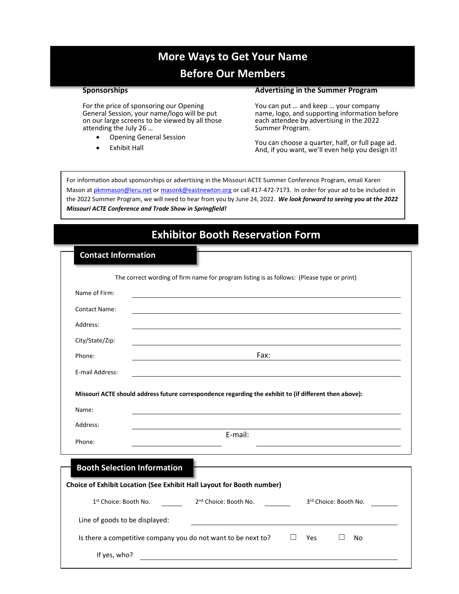## **More Ways to Get Your Name**

## **Before Our Members**

### **Sponsorships**

**Advertising in the Summer Program**

For the price of sponsoring our Opening General Session, your name/logo will be put on our large screens to be viewed by all those attending the July 26 …

- Opening General Session
- **Exhibit Hall**

You can put … and keep … your company name, logo, and supporting information before each attendee by advertising in the 2022 Summer Program.

You can choose a quarter, half, or full page ad. And, if you want, we'll even help you design it!

For information about sponsorships or advertising in the Missouri ACTE Summer Conference Program, email Karen Mason a[t pkmmason@leru.net](mailto:pkmmason@leru.net) o[r masonk@e](mailto:masonk@)astnewton.org or call 417-472-7173. In order for your ad to be included in the 2022 Summer Program, we will need to hear from you by June 24, 2022. *We look forward to seeing you at the 2022 Missouri ACTE Conference and Trade Show in Springfield!*

| <b>Exhibitor Booth Reservation Form</b>                                                                                                  |
|------------------------------------------------------------------------------------------------------------------------------------------|
| <b>Contact Information</b>                                                                                                               |
| The correct wording of firm name for program listing is as follows: (Please type or print)                                               |
| Name of Firm:                                                                                                                            |
| Contact Name:<br><u> 1989 - Johann Stoff, amerikansk politiker (* 1908)</u>                                                              |
| Address:                                                                                                                                 |
| City/State/Zip:                                                                                                                          |
| Fax:<br>Phone:                                                                                                                           |
| E-mail Address:<br><u> 1989 - Johann Stoff, deutscher Stoff, der Stoff, der Stoff, der Stoff, der Stoff, der Stoff, der Stoff, der S</u> |
| Missouri ACTE should address future correspondence regarding the exhibit to (if different then above):                                   |
| Name:                                                                                                                                    |
| Address:                                                                                                                                 |
| E-mail:<br>Phone:                                                                                                                        |
| <b>Booth Selection Information</b>                                                                                                       |
| Choice of Exhibit Location (See Exhibit Hall Layout for Booth number)                                                                    |
| 2 <sup>nd</sup> Choice: Booth No.<br>1st Choice: Booth No.<br>3rd Choice: Booth No.                                                      |
| Line of goods to be displayed:<br><u> 1980 - Andrea Brand, Amerikaansk politik (</u>                                                     |
| $\Box$ Yes<br>Is there a competitive company you do not want to be next to?<br>$\Box$<br>No                                              |
| If yes, who?<br><u> 1980 - Jan Sterner Sterner, skrivatsk politik (d. 1980)</u>                                                          |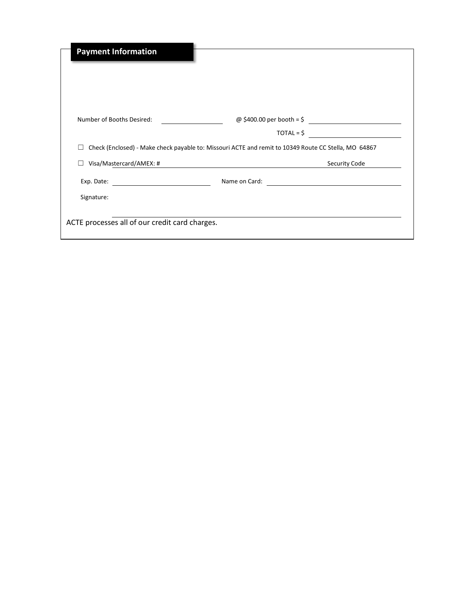| <b>Payment Information</b>                     |                                                                                                                                                                  |
|------------------------------------------------|------------------------------------------------------------------------------------------------------------------------------------------------------------------|
| Number of Booths Desired:                      | @ \$400.00 per booth = \$<br>$TOTAL = $$<br><u> 1989 - Jan Barbara Barat, prima prima prima prima prima prima prima prima prima prima prima prima prima prim</u> |
| Visa/Mastercard/AMEX: #                        | Check (Enclosed) - Make check payable to: Missouri ACTE and remit to 10349 Route CC Stella, MO 64867<br>Security Code                                            |
| Signature:                                     | Name on Card:                                                                                                                                                    |
| ACTE processes all of our credit card charges. |                                                                                                                                                                  |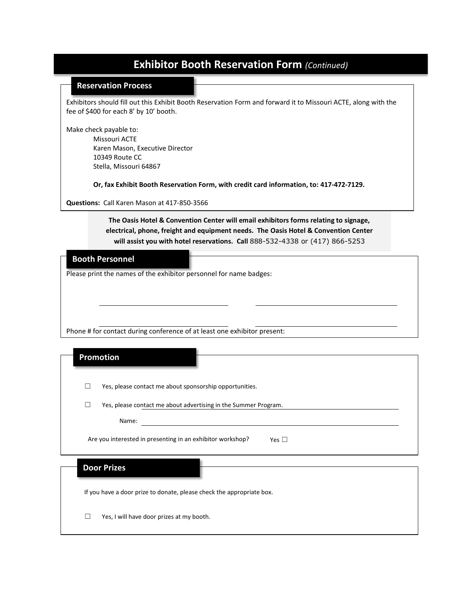## **Exhibitor Booth Reservation Form** *(Continued)*

### **Reservation Process**

Exhibitors should fill out this Exhibit Booth Reservation Form and forward it to Missouri ACTE, along with the fee of \$400 for each 8' by 10' booth.

Make check payable to:

Missouri ACTE Karen Mason, Executive Director 10349 Route CC Stella, Missouri 64867

**Or, fax Exhibit Booth Reservation Form, with credit card information, to: 417-472-7129.**

**Questions:** Call Karen Mason at 417-850-3566

**The Oasis Hotel & Convention Center will email exhibitors forms relating to signage, electrical, phone, freight and equipment needs. The Oasis Hotel & Convention Center will assist you with hotel reservations. Call** 888-532-4338 or (417) 866-5253

## **Booth Personnel**

Please print the names of the exhibitor personnel for name badges:

Phone # for contact during conference of at least one exhibitor present:

| <b>Promotion</b>                                                         |
|--------------------------------------------------------------------------|
| Yes, please contact me about sponsorship opportunities.                  |
| Yes, please contact me about advertising in the Summer Program.          |
| Name:                                                                    |
|                                                                          |
| Are you interested in presenting in an exhibitor workshop?<br>Yes $\Box$ |
| <b>Door Prizes</b>                                                       |
| If you have a door prize to donate, please check the appropriate box.    |